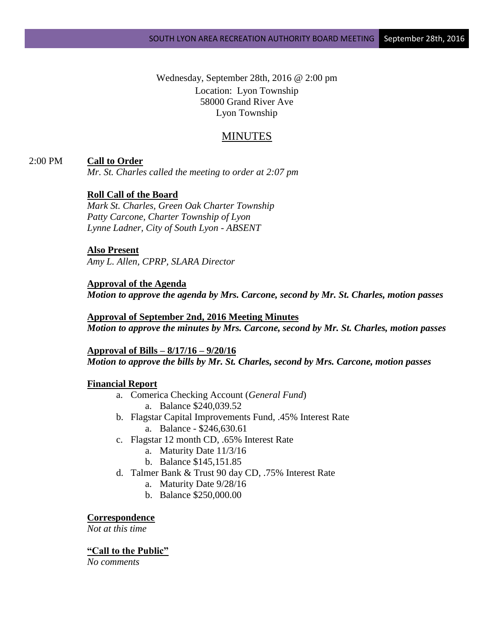Wednesday, September 28th, 2016 @ 2:00 pm Location: Lyon Township 58000 Grand River Ave Lyon Township

# MINUTES

### 2:00 PM **Call to Order**

*Mr. St. Charles called the meeting to order at 2:07 pm*

### **Roll Call of the Board**

*Mark St. Charles, Green Oak Charter Township Patty Carcone, Charter Township of Lyon Lynne Ladner, City of South Lyon - ABSENT*

#### **Also Present**

*Amy L. Allen, CPRP, SLARA Director*

#### **Approval of the Agenda**

*Motion to approve the agenda by Mrs. Carcone, second by Mr. St. Charles, motion passes*

**Approval of September 2nd, 2016 Meeting Minutes** *Motion to approve the minutes by Mrs. Carcone, second by Mr. St. Charles, motion passes*

**Approval of Bills – 8/17/16 – 9/20/16** *Motion to approve the bills by Mr. St. Charles, second by Mrs. Carcone, motion passes*

#### **Financial Report**

- a. Comerica Checking Account (*General Fund*) a. Balance \$240,039.52
- b. Flagstar Capital Improvements Fund, .45% Interest Rate a. Balance - \$246,630.61
- c. Flagstar 12 month CD, .65% Interest Rate
	- a. Maturity Date 11/3/16
	- b. Balance \$145,151.85
- d. Talmer Bank & Trust 90 day CD, .75% Interest Rate
	- a. Maturity Date 9/28/16
	- b. Balance \$250,000.00

#### **Correspondence**

*Not at this time*

#### **"Call to the Public"**

*No comments*